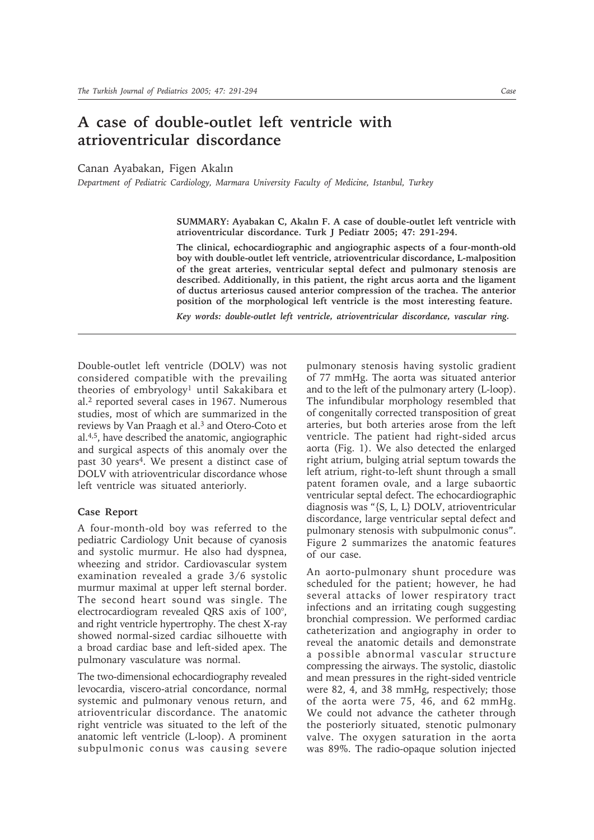## **A case of double-outlet left ventricle with atrioventricular discordance**

Canan Ayabakan, Figen Akalın

*Department of Pediatric Cardiology, Marmara University Faculty of Medicine, Istanbul, Turkey*

**SUMMARY: Ayabakan C, Akalın F. A case of double-outlet left ventricle with atrioventricular discordance. Turk J Pediatr 2005; 47: 291-294.**

**The clinical, echocardiographic and angiographic aspects of a four-month-old boy with double-outlet left ventricle, atrioventricular discordance, L-malposition of the great arteries, ventricular septal defect and pulmonary stenosis are described. Additionally, in this patient, the right arcus aorta and the ligament of ductus arteriosus caused anterior compression of the trachea. The anterior position of the morphological left ventricle is the most interesting feature.**

*Key words: double-outlet left ventricle, atrioventricular discordance, vascular ring.*

Double-outlet left ventricle (DOLV) was not considered compatible with the prevailing theories of embryology<sup>1</sup> until Sakakibara et al.2 reported several cases in 1967. Numerous studies, most of which are summarized in the reviews by Van Praagh et al.3 and Otero-Coto et al.4,5, have described the anatomic, angiographic and surgical aspects of this anomaly over the past 30 years<sup>4</sup>. We present a distinct case of DOLV with atrioventricular discordance whose left ventricle was situated anteriorly.

## **Case Report**

A four-month-old boy was referred to the pediatric Cardiology Unit because of cyanosis and systolic murmur. He also had dyspnea, wheezing and stridor. Cardiovascular system examination revealed a grade 3/6 systolic murmur maximal at upper left sternal border. The second heart sound was single. The electrocardiogram revealed QRS axis of 100°, and right ventricle hypertrophy. The chest X-ray showed normal-sized cardiac silhouette with a broad cardiac base and left-sided apex. The pulmonary vasculature was normal.

The two-dimensional echocardiography revealed levocardia, viscero-atrial concordance, normal systemic and pulmonary venous return, and atrioventricular discordance. The anatomic right ventricle was situated to the left of the anatomic left ventricle (L-loop). A prominent subpulmonic conus was causing severe

pulmonary stenosis having systolic gradient of 77 mmHg. The aorta was situated anterior and to the left of the pulmonary artery (L-loop). The infundibular morphology resembled that of congenitally corrected transposition of great arteries, but both arteries arose from the left ventricle. The patient had right-sided arcus aorta (Fig. 1). We also detected the enlarged right atrium, bulging atrial septum towards the left atrium, right-to-left shunt through a small patent foramen ovale, and a large subaortic ventricular septal defect. The echocardiographic diagnosis was "{S, L, L} DOLV, atrioventricular discordance, large ventricular septal defect and pulmonary stenosis with subpulmonic conus". Figure 2 summarizes the anatomic features of our case.

An aorto-pulmonary shunt procedure was scheduled for the patient; however, he had several attacks of lower respiratory tract infections and an irritating cough suggesting bronchial compression. We performed cardiac catheterization and angiography in order to reveal the anatomic details and demonstrate a possible abnormal vascular structure compressing the airways. The systolic, diastolic and mean pressures in the right-sided ventricle were 82, 4, and 38 mmHg, respectively; those of the aorta were 75, 46, and 62 mmHg. We could not advance the catheter through the posteriorly situated, stenotic pulmonary valve. The oxygen saturation in the aorta was 89%. The radio-opaque solution injected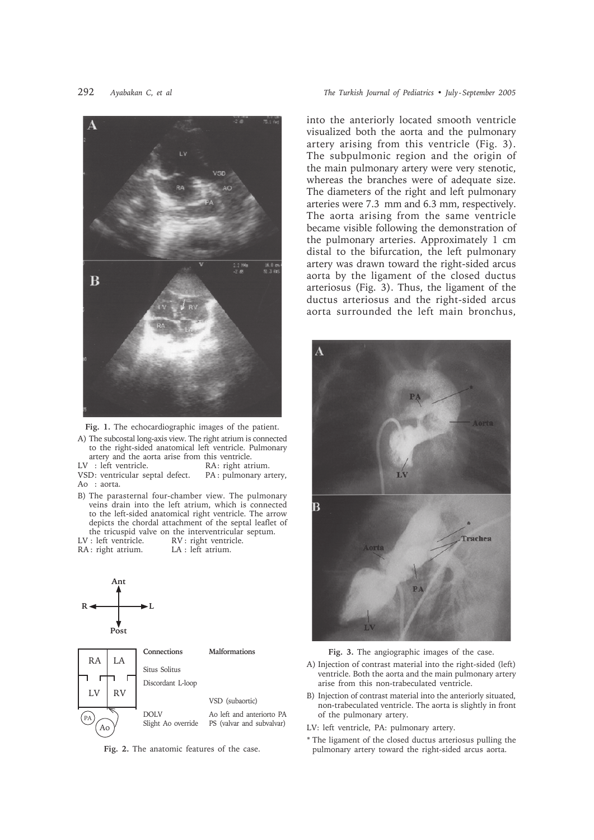

**Fig. 1.** The echocardiographic images of the patient.

A) The subcostal long-axis view. The right atrium is connected to the right-sided anatomical left ventricle. Pulmonary artery and the aorta arise from this ventricle.

LV : left ventricle. <br>RA: right atrium. VSD: ventricular septal defect. PA: pulmonary artery,

Ao : aorta.

- B) The parasternal four-chamber view. The pulmonary veins drain into the left atrium, which is connected to the left-sided anatomical right ventricle. The arrow depicts the chordal attachment of the septal leaflet of the tricuspid valve on the interventricular septum.<br> $LV:$  left ventricle.  $RV:$  right ventricle.
- RA: right atrium.





**Fig. 2.** The anatomic features of the case.

into the anteriorly located smooth ventricle visualized both the aorta and the pulmonary artery arising from this ventricle (Fig. 3). The subpulmonic region and the origin of the main pulmonary artery were very stenotic, whereas the branches were of adequate size. The diameters of the right and left pulmonary arteries were 7.3 mm and 6.3 mm, respectively. The aorta arising from the same ventricle became visible following the demonstration of the pulmonary arteries. Approximately 1 cm distal to the bifurcation, the left pulmonary artery was drawn toward the right-sided arcus aorta by the ligament of the closed ductus arteriosus (Fig. 3). Thus, the ligament of the ductus arteriosus and the right-sided arcus aorta surrounded the left main bronchus,



**Fig. 3.** The angiographic images of the case.

- A) Injection of contrast material into the right-sided (left) ventricle. Both the aorta and the main pulmonary artery arise from this non-trabeculated ventricle.
- B) Injection of contrast material into the anteriorly situated, non-trabeculated ventricle. The aorta is slightly in front of the pulmonary artery.

LV: left ventricle, PA: pulmonary artery.

\* The ligament of the closed ductus arteriosus pulling the pulmonary artery toward the right-sided arcus aorta.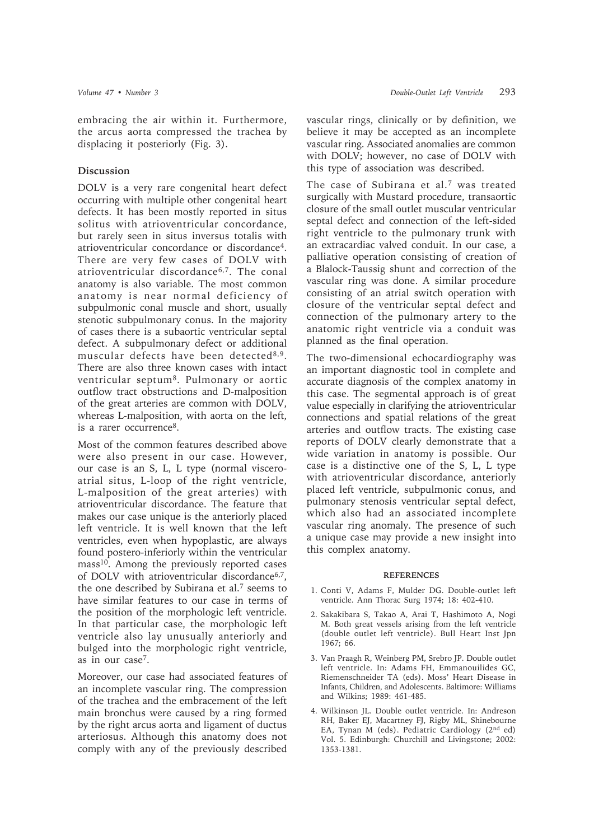embracing the air within it. Furthermore, the arcus aorta compressed the trachea by displacing it posteriorly (Fig. 3).

## **Discussion**

DOLV is a very rare congenital heart defect occurring with multiple other congenital heart defects. It has been mostly reported in situs solitus with atrioventricular concordance, but rarely seen in situs inversus totalis with atrioventricular concordance or discordance4. There are very few cases of DOLV with atrioventricular discordance6,7. The conal anatomy is also variable. The most common anatomy is near normal deficiency of subpulmonic conal muscle and short, usually stenotic subpulmonary conus. In the majority of cases there is a subaortic ventricular septal defect. A subpulmonary defect or additional muscular defects have been detected8,9. There are also three known cases with intact ventricular septum8. Pulmonary or aortic outflow tract obstructions and D-malposition of the great arteries are common with DOLV, whereas L-malposition, with aorta on the left, is a rarer occurrence8.

Most of the common features described above were also present in our case. However, our case is an S, L, L type (normal visceroatrial situs, L-loop of the right ventricle, L-malposition of the great arteries) with atrioventricular discordance. The feature that makes our case unique is the anteriorly placed left ventricle. It is well known that the left ventricles, even when hypoplastic, are always found postero-inferiorly within the ventricular mass10. Among the previously reported cases of DOLV with atrioventricular discordance<sup>6,7</sup>, the one described by Subirana et al.7 seems to have similar features to our case in terms of the position of the morphologic left ventricle. In that particular case, the morphologic left ventricle also lay unusually anteriorly and bulged into the morphologic right ventricle, as in our case7.

Moreover, our case had associated features of an incomplete vascular ring. The compression of the trachea and the embracement of the left main bronchus were caused by a ring formed by the right arcus aorta and ligament of ductus arteriosus. Although this anatomy does not comply with any of the previously described

vascular rings, clinically or by definition, we believe it may be accepted as an incomplete vascular ring. Associated anomalies are common with DOLV; however, no case of DOLV with this type of association was described.

The case of Subirana et al.<sup>7</sup> was treated surgically with Mustard procedure, transaortic closure of the small outlet muscular ventricular septal defect and connection of the left-sided right ventricle to the pulmonary trunk with an extracardiac valved conduit. In our case, a palliative operation consisting of creation of a Blalock-Taussig shunt and correction of the vascular ring was done. A similar procedure consisting of an atrial switch operation with closure of the ventricular septal defect and connection of the pulmonary artery to the anatomic right ventricle via a conduit was planned as the final operation.

The two-dimensional echocardiography was an important diagnostic tool in complete and accurate diagnosis of the complex anatomy in this case. The segmental approach is of great value especially in clarifying the atrioventricular connections and spatial relations of the great arteries and outflow tracts. The existing case reports of DOLV clearly demonstrate that a wide variation in anatomy is possible. Our case is a distinctive one of the S, L, L type with atrioventricular discordance, anteriorly placed left ventricle, subpulmonic conus, and pulmonary stenosis ventricular septal defect, which also had an associated incomplete vascular ring anomaly. The presence of such a unique case may provide a new insight into this complex anatomy.

## **REFERENCES**

- 1. Conti V, Adams F, Mulder DG. Double-outlet left ventricle. Ann Thorac Surg 1974; 18: 402-410.
- 2. Sakakibara S, Takao A, Arai T, Hashimoto A, Nogi M. Both great vessels arising from the left ventricle (double outlet left ventricle). Bull Heart Inst Jpn 1967; 66.
- 3. Van Praagh R, Weinberg PM, Srebro JP. Double outlet left ventricle. In: Adams FH, Emmanouilides GC, Riemenschneider TA (eds). Moss' Heart Disease in Infants, Children, and Adolescents. Baltimore: Williams and Wilkins; 1989: 461-485.
- 4. Wilkinson JL. Double outlet ventricle. In: Andreson RH, Baker EJ, Macartney FJ, Rigby ML, Shinebourne EA, Tynan M (eds). Pediatric Cardiology (2nd ed) Vol. 5. Edinburgh: Churchill and Livingstone; 2002: 1353-1381.